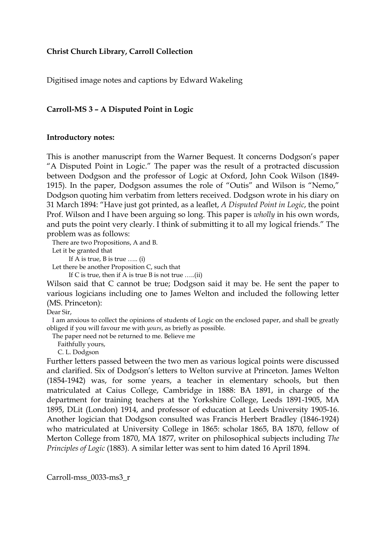## **Christ Church Library, Carroll Collection**

Digitised image notes and captions by Edward Wakeling

## **Carroll-MS 3 – A Disputed Point in Logic**

## **Introductory notes:**

This is another manuscript from the Warner Bequest. It concerns Dodgson's paper "A Disputed Point in Logic." The paper was the result of a protracted discussion between Dodgson and the professor of Logic at Oxford, John Cook Wilson (1849- 1915). In the paper, Dodgson assumes the role of "Outis" and Wilson is "Nemo," Dodgson quoting him verbatim from letters received. Dodgson wrote in his diary on 31 March 1894: "Have just got printed, as a leaflet, *A Disputed Point in Logic*, the point Prof. Wilson and I have been arguing so long. This paper is *wholly* in his own words, and puts the point very clearly. I think of submitting it to all my logical friends." The problem was as follows:

There are two Propositions, A and B.

Let it be granted that

If A is true, B is true ….. (i)

Let there be another Proposition C, such that

If C is true, then if A is true B is not true  $\dots$  (ii)

Wilson said that C cannot be true; Dodgson said it may be. He sent the paper to various logicians including one to James Welton and included the following letter (MS. Princeton):

Dear Sir,

 I am anxious to collect the opinions of students of Logic on the enclosed paper, and shall be greatly obliged if you will favour me with *yours*, as briefly as possible.

The paper need not be returned to me. Believe me

Faithfully yours,

C. L. Dodgson

Further letters passed between the two men as various logical points were discussed and clarified. Six of Dodgson's letters to Welton survive at Princeton. James Welton (1854-1942) was, for some years, a teacher in elementary schools, but then matriculated at Caius College, Cambridge in 1888: BA 1891, in charge of the department for training teachers at the Yorkshire College, Leeds 1891-1905, MA 1895, DLit (London) 1914, and professor of education at Leeds University 1905-16. Another logician that Dodgson consulted was Francis Herbert Bradley (1846-1924) who matriculated at University College in 1865: scholar 1865, BA 1870, fellow of Merton College from 1870, MA 1877, writer on philosophical subjects including *The Principles of Logic* (1883). A similar letter was sent to him dated 16 April 1894.

Carroll-mss\_0033-ms3\_r